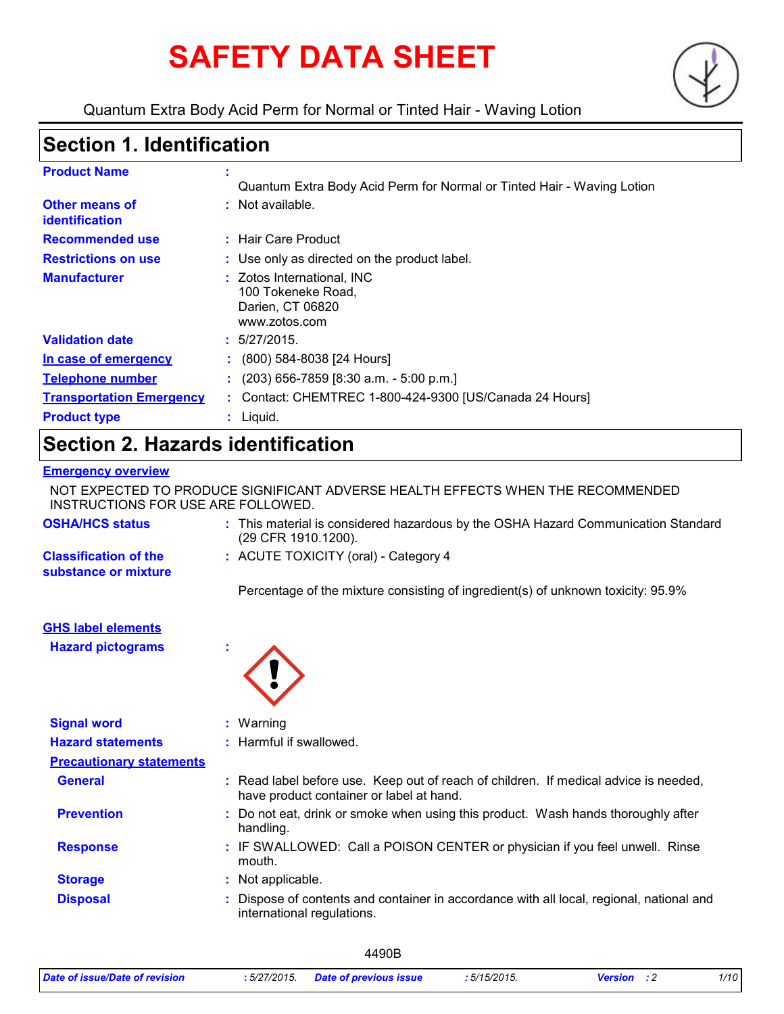# **SAFETY DATA SHEET**



Quantum Extra Body Acid Perm for Normal or Tinted Hair - Waving Lotion

### **Section 1. Identification**

| <b>Product Name</b>                     | Quantum Extra Body Acid Perm for Normal or Tinted Hair - Waving Lotion                |
|-----------------------------------------|---------------------------------------------------------------------------------------|
| Other means of<br><b>identification</b> | : Not available.                                                                      |
| <b>Recommended use</b>                  | : Hair Care Product                                                                   |
| <b>Restrictions on use</b>              | : Use only as directed on the product label.                                          |
| <b>Manufacturer</b>                     | : Zotos International, INC<br>100 Tokeneke Road,<br>Darien, CT 06820<br>www.zotos.com |
| <b>Validation date</b>                  | : 5/27/2015.                                                                          |
| In case of emergency                    | (800) 584-8038 [24 Hours]                                                             |
| <b>Telephone number</b>                 | $(203)$ 656-7859 [8:30 a.m. - 5:00 p.m.]                                              |
| <b>Transportation Emergency</b>         | Contact: CHEMTREC 1-800-424-9300 [US/Canada 24 Hours]                                 |
| <b>Product type</b>                     | Liquid.                                                                               |

### **Section 2. Hazards identification**

#### **Emergency overview**

**Hazard pictograms :**

NOT EXPECTED TO PRODUCE SIGNIFICANT ADVERSE HEALTH EFFECTS WHEN THE RECOMMENDED INSTRUCTIONS FOR USE ARE FOLLOWED.

| <b>OSHA/HCS status</b>                               | : This material is considered hazardous by the OSHA Hazard Communication Standard<br>(29 CFR 1910.1200). |
|------------------------------------------------------|----------------------------------------------------------------------------------------------------------|
| <b>Classification of the</b><br>substance or mixture | : ACUTE TOXICITY (oral) - Category 4                                                                     |
|                                                      | Percentage of the mixture consisting of ingredient(s) of unknown toxicity: 95.9%                         |
| <b>GHS label elements</b>                            |                                                                                                          |

| <b>Signal word</b>              | $:$ Warning                                                                                                                      |  |
|---------------------------------|----------------------------------------------------------------------------------------------------------------------------------|--|
| <b>Hazard statements</b>        | : Harmful if swallowed.                                                                                                          |  |
| <b>Precautionary statements</b> |                                                                                                                                  |  |
| <b>General</b>                  | : Read label before use. Keep out of reach of children. If medical advice is needed,<br>have product container or label at hand. |  |
| <b>Prevention</b>               | : Do not eat, drink or smoke when using this product. Wash hands thoroughly after<br>handling.                                   |  |
| <b>Response</b>                 | : IF SWALLOWED: Call a POISON CENTER or physician if you feel unwell. Rinse<br>mouth.                                            |  |
| <b>Storage</b>                  | : Not applicable.                                                                                                                |  |
| <b>Disposal</b>                 | : Dispose of contents and container in accordance with all local, regional, national and<br>international regulations.           |  |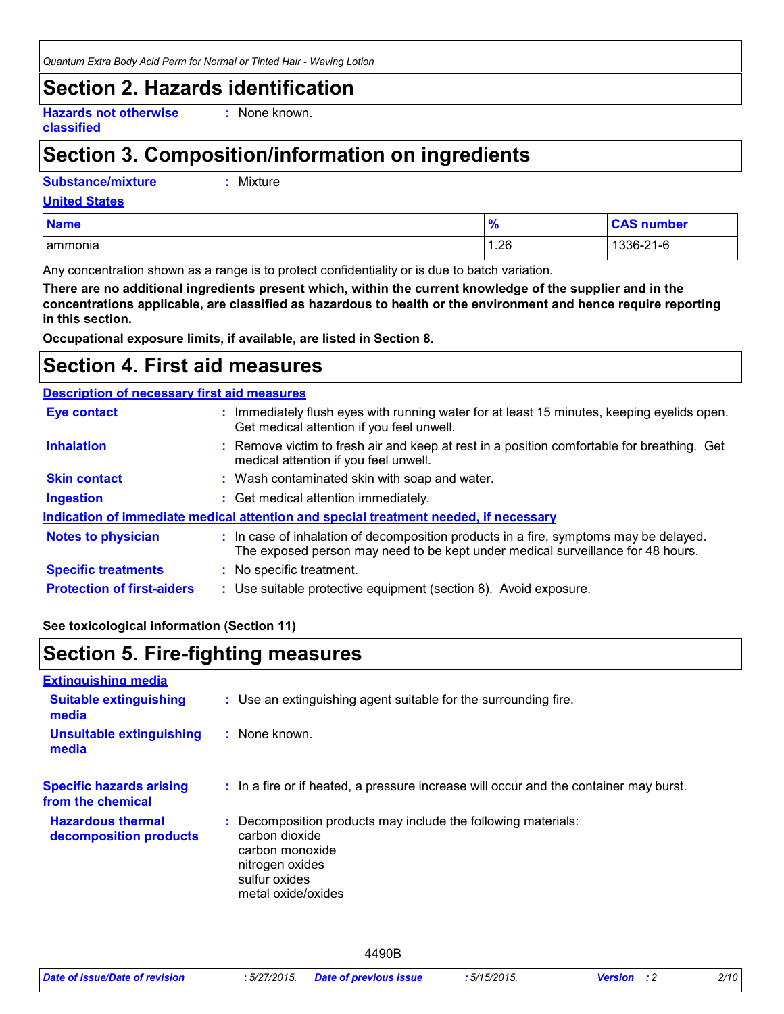*Quantum Extra Body Acid Perm for Normal or Tinted Hair - Waving Lotion*

### **Section 2. Hazards identification**

**Hazards not otherwise classified**

**:** None known.

### **Section 3. Composition/information on ingredients**

**Substance/mixture :**

: Mixture

| <b>United States</b> |
|----------------------|
|----------------------|

| <b>Name</b> | $\mathbf{a}$<br>70 | <b>CAS number</b> |
|-------------|--------------------|-------------------|
| ammonia     | 1.26               | 1336-21-6         |

Any concentration shown as a range is to protect confidentiality or is due to batch variation.

**There are no additional ingredients present which, within the current knowledge of the supplier and in the concentrations applicable, are classified as hazardous to health or the environment and hence require reporting in this section.**

**Occupational exposure limits, if available, are listed in Section 8.**

### **Section 4. First aid measures**

#### **Description of necessary first aid measures**

| <b>Eye contact</b>                                                                   | : Immediately flush eyes with running water for at least 15 minutes, keeping eyelids open.<br>Get medical attention if you feel unwell.                                  |  |  |
|--------------------------------------------------------------------------------------|--------------------------------------------------------------------------------------------------------------------------------------------------------------------------|--|--|
| <b>Inhalation</b>                                                                    | : Remove victim to fresh air and keep at rest in a position comfortable for breathing. Get<br>medical attention if you feel unwell.                                      |  |  |
| <b>Skin contact</b>                                                                  | : Wash contaminated skin with soap and water.                                                                                                                            |  |  |
| <b>Ingestion</b>                                                                     | : Get medical attention immediately.                                                                                                                                     |  |  |
| Indication of immediate medical attention and special treatment needed, if necessary |                                                                                                                                                                          |  |  |
| <b>Notes to physician</b>                                                            | : In case of inhalation of decomposition products in a fire, symptoms may be delayed.<br>The exposed person may need to be kept under medical surveillance for 48 hours. |  |  |
| <b>Specific treatments</b>                                                           | : No specific treatment.                                                                                                                                                 |  |  |
| <b>Protection of first-aiders</b>                                                    | : Use suitable protective equipment (section 8). Avoid exposure.                                                                                                         |  |  |

#### **See toxicological information (Section 11)**

### **Section 5. Fire-fighting measures**

| <b>Extinguishing media</b>                           |                                                                                                                                                              |
|------------------------------------------------------|--------------------------------------------------------------------------------------------------------------------------------------------------------------|
| <b>Suitable extinguishing</b><br>media               | : Use an extinguishing agent suitable for the surrounding fire.                                                                                              |
| <b>Unsuitable extinguishing</b><br>media             | : None known.                                                                                                                                                |
| <b>Specific hazards arising</b><br>from the chemical | : In a fire or if heated, a pressure increase will occur and the container may burst.                                                                        |
| <b>Hazardous thermal</b><br>decomposition products   | : Decomposition products may include the following materials:<br>carbon dioxide<br>carbon monoxide<br>nitrogen oxides<br>sulfur oxides<br>metal oxide/oxides |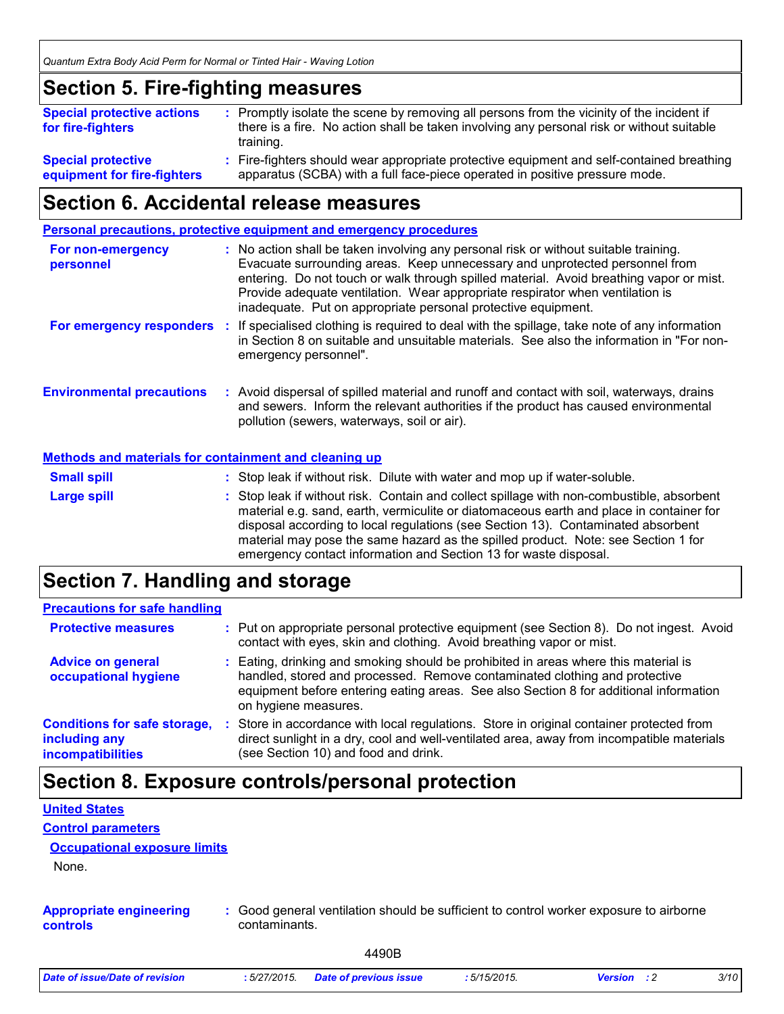### **Section 5. Fire-fighting measures**

| <b>Special protective actions</b><br>for fire-fighters   | : Promptly isolate the scene by removing all persons from the vicinity of the incident if<br>there is a fire. No action shall be taken involving any personal risk or without suitable<br>training. |  |
|----------------------------------------------------------|-----------------------------------------------------------------------------------------------------------------------------------------------------------------------------------------------------|--|
| <b>Special protective</b><br>equipment for fire-fighters | : Fire-fighters should wear appropriate protective equipment and self-contained breathing<br>apparatus (SCBA) with a full face-piece operated in positive pressure mode.                            |  |

### **Section 6. Accidental release measures**

**Personal precautions, protective equipment and emergency procedures**

| For non-emergency<br>personnel                               | : No action shall be taken involving any personal risk or without suitable training.<br>Evacuate surrounding areas. Keep unnecessary and unprotected personnel from<br>entering. Do not touch or walk through spilled material. Avoid breathing vapor or mist.<br>Provide adequate ventilation. Wear appropriate respirator when ventilation is<br>inadequate. Put on appropriate personal protective equipment. |
|--------------------------------------------------------------|------------------------------------------------------------------------------------------------------------------------------------------------------------------------------------------------------------------------------------------------------------------------------------------------------------------------------------------------------------------------------------------------------------------|
| For emergency responders :                                   | If specialised clothing is required to deal with the spillage, take note of any information<br>in Section 8 on suitable and unsuitable materials. See also the information in "For non-<br>emergency personnel".                                                                                                                                                                                                 |
| <b>Environmental precautions</b>                             | : Avoid dispersal of spilled material and runoff and contact with soil, waterways, drains<br>and sewers. Inform the relevant authorities if the product has caused environmental<br>pollution (sewers, waterways, soil or air).                                                                                                                                                                                  |
| <b>Methods and materials for containment and cleaning up</b> |                                                                                                                                                                                                                                                                                                                                                                                                                  |
| <b>Small spill</b>                                           | : Stop leak if without risk. Dilute with water and mop up if water-soluble.                                                                                                                                                                                                                                                                                                                                      |
| <b>Large spill</b>                                           | : Stop leak if without risk. Contain and collect spillage with non-combustible, absorbent<br>material e.g. sand, earth, vermiculite or diatomaceous earth and place in container for                                                                                                                                                                                                                             |

### **Section 7. Handling and storage**

| <b>Precautions for safe handling</b>                                      |   |                                                                                                                                                                                                                                                                                    |  |
|---------------------------------------------------------------------------|---|------------------------------------------------------------------------------------------------------------------------------------------------------------------------------------------------------------------------------------------------------------------------------------|--|
| <b>Protective measures</b>                                                |   | : Put on appropriate personal protective equipment (see Section 8). Do not ingest. Avoid<br>contact with eyes, skin and clothing. Avoid breathing vapor or mist.                                                                                                                   |  |
| <b>Advice on general</b><br>occupational hygiene                          |   | : Eating, drinking and smoking should be prohibited in areas where this material is<br>handled, stored and processed. Remove contaminated clothing and protective<br>equipment before entering eating areas. See also Section 8 for additional information<br>on hygiene measures. |  |
| <b>Conditions for safe storage,</b><br>including any<br>incompatibilities | ÷ | Store in accordance with local regulations. Store in original container protected from<br>direct sunlight in a dry, cool and well-ventilated area, away from incompatible materials<br>(see Section 10) and food and drink.                                                        |  |

disposal according to local regulations (see Section 13). Contaminated absorbent material may pose the same hazard as the spilled product. Note: see Section 1 for

emergency contact information and Section 13 for waste disposal.

### **Section 8. Exposure controls/personal protection**

| <b>United States</b>                              |                                                                                                         |
|---------------------------------------------------|---------------------------------------------------------------------------------------------------------|
| <b>Control parameters</b>                         |                                                                                                         |
| <b>Occupational exposure limits</b>               |                                                                                                         |
| None.                                             |                                                                                                         |
|                                                   |                                                                                                         |
| <b>Appropriate engineering</b><br><b>controls</b> | : Good general ventilation should be sufficient to control worker exposure to airborne<br>contaminants. |
|                                                   | 4490B                                                                                                   |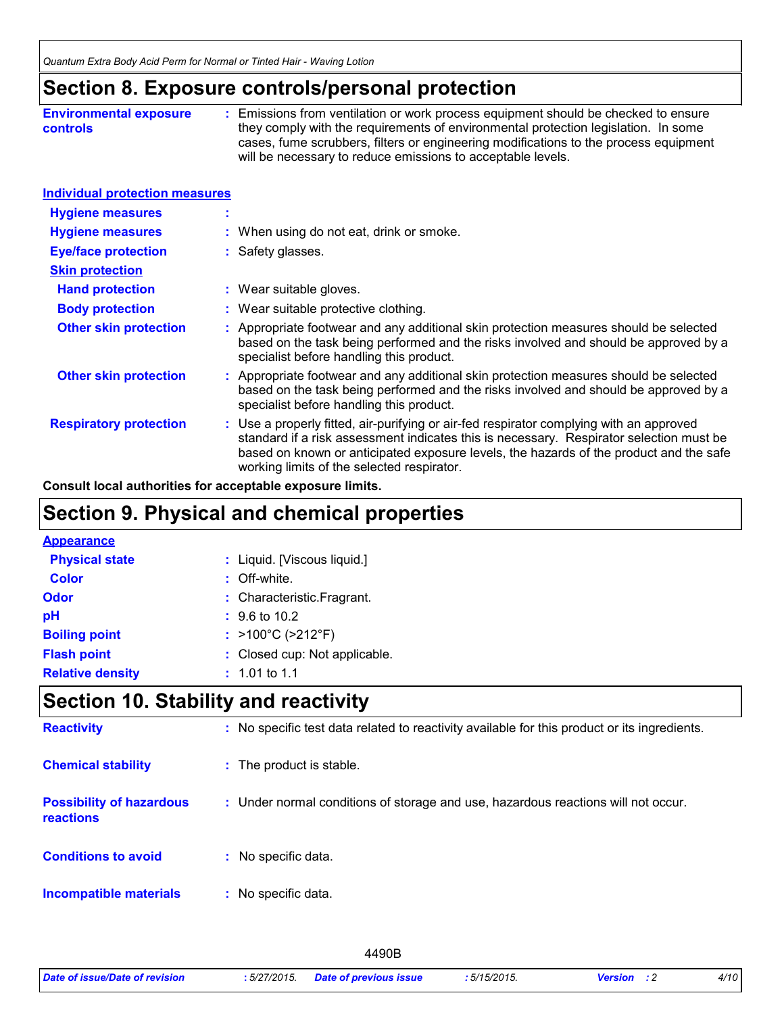### **Section 8. Exposure controls/personal protection**

| <b>Environmental exposure</b> | : Emissions from ventilation or work process equipment should be checked to ensure   |
|-------------------------------|--------------------------------------------------------------------------------------|
| <b>controls</b>               | they comply with the requirements of environmental protection legislation. In some   |
|                               | cases, fume scrubbers, filters or engineering modifications to the process equipment |
|                               | will be necessary to reduce emissions to acceptable levels.                          |

#### **Individual protection measures**

| <b>Hygiene measures</b>       |                                                                                                                                                                                                                                                                                                                            |
|-------------------------------|----------------------------------------------------------------------------------------------------------------------------------------------------------------------------------------------------------------------------------------------------------------------------------------------------------------------------|
| <b>Hygiene measures</b>       | : When using do not eat, drink or smoke.                                                                                                                                                                                                                                                                                   |
| <b>Eye/face protection</b>    | : Safety glasses.                                                                                                                                                                                                                                                                                                          |
| <b>Skin protection</b>        |                                                                                                                                                                                                                                                                                                                            |
| <b>Hand protection</b>        | : Wear suitable gloves.                                                                                                                                                                                                                                                                                                    |
| <b>Body protection</b>        | : Wear suitable protective clothing.                                                                                                                                                                                                                                                                                       |
| <b>Other skin protection</b>  | : Appropriate footwear and any additional skin protection measures should be selected<br>based on the task being performed and the risks involved and should be approved by a<br>specialist before handling this product.                                                                                                  |
| <b>Other skin protection</b>  | : Appropriate footwear and any additional skin protection measures should be selected<br>based on the task being performed and the risks involved and should be approved by a<br>specialist before handling this product.                                                                                                  |
| <b>Respiratory protection</b> | : Use a properly fitted, air-purifying or air-fed respirator complying with an approved<br>standard if a risk assessment indicates this is necessary. Respirator selection must be<br>based on known or anticipated exposure levels, the hazards of the product and the safe<br>working limits of the selected respirator. |

**Consult local authorities for acceptable exposure limits.**

### **Section 9. Physical and chemical properties**

#### **Appearance**

| <b>Physical state</b>   | : Liquid. [Viscous liquid.] |                                        |  |
|-------------------------|-----------------------------|----------------------------------------|--|
| <b>Color</b>            |                             | $:$ Off-white.                         |  |
| Odor                    |                             | : Characteristic. Fragrant.            |  |
| рH                      |                             | $\div$ 9.6 to 10.2                     |  |
| <b>Boiling point</b>    |                             | : $>100^{\circ}$ C ( $>212^{\circ}$ F) |  |
| <b>Flash point</b>      |                             | : Closed cup: Not applicable.          |  |
| <b>Relative density</b> |                             | $: 1.01$ to 1.1                        |  |

### **Section 10. Stability and reactivity**

| <b>Reactivity</b>                            | : No specific test data related to reactivity available for this product or its ingredients. |
|----------------------------------------------|----------------------------------------------------------------------------------------------|
| <b>Chemical stability</b>                    | : The product is stable.                                                                     |
| <b>Possibility of hazardous</b><br>reactions | : Under normal conditions of storage and use, hazardous reactions will not occur.            |
| <b>Conditions to avoid</b>                   | : No specific data.                                                                          |
| <b>Incompatible materials</b>                | No specific data.                                                                            |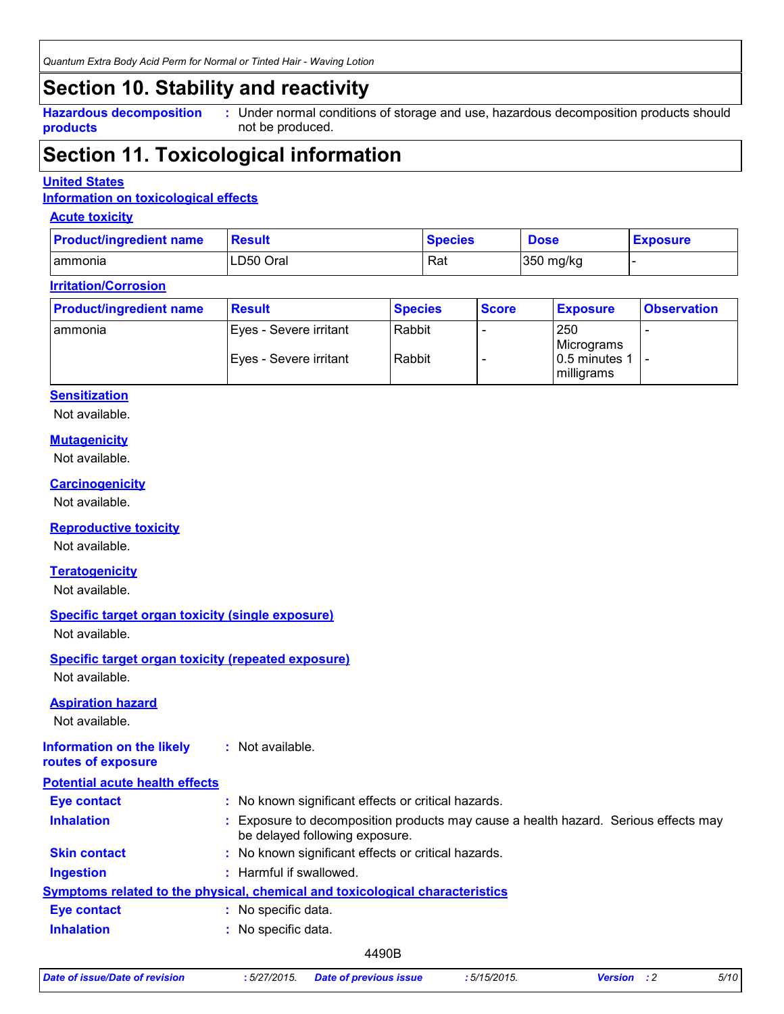*Quantum Extra Body Acid Perm for Normal or Tinted Hair - Waving Lotion*

### **Section 10. Stability and reactivity**

**Hazardous decomposition products**

Under normal conditions of storage and use, hazardous decomposition products should **:** not be produced.

### **Section 11. Toxicological information**

#### **United States**

#### **Information on toxicological effects**

#### **Acute toxicity**

| <b>Product/ingredient name</b> | <b>Result</b> | <b>Species</b> | <b>Dose</b> | <b>Exposure</b> |
|--------------------------------|---------------|----------------|-------------|-----------------|
| ammonia                        | LD50 Oral     | Rat            | 350 mg/kg   |                 |

#### **Irritation/Corrosion**

| <b>Product/ingredient name</b> | <b>Result</b>                                    | <b>Species</b>   | <b>Score</b> | <b>Exposure</b>                     | <b>Observation</b> |
|--------------------------------|--------------------------------------------------|------------------|--------------|-------------------------------------|--------------------|
| l ammonia                      | Eyes - Severe irritant<br>Eyes - Severe irritant | Rabbit<br>Rabbit |              | 250<br>Micrograms<br>10.5 minutes 1 |                    |
|                                |                                                  |                  |              | milligrams                          |                    |

#### **Sensitization**

Not available.

#### **Mutagenicity**

Not available.

#### **Carcinogenicity**

Not available.

#### **Reproductive toxicity**

Not available.

#### **Teratogenicity**

Not available.

#### **Specific target organ toxicity (single exposure)**

Not available.

#### **Specific target organ toxicity (repeated exposure)** Not available.

**Aspiration hazard**

Not available.

#### **Information on the likely routes of exposure :** Not available.

| <b>Potential acute health effects</b> |                                                                                                                     |
|---------------------------------------|---------------------------------------------------------------------------------------------------------------------|
| Eye contact                           | : No known significant effects or critical hazards.                                                                 |
| <b>Inhalation</b>                     | Exposure to decomposition products may cause a health hazard. Serious effects may<br>be delayed following exposure. |
| <b>Skin contact</b>                   | : No known significant effects or critical hazards.                                                                 |
| <b>Ingestion</b>                      | : Harmful if swallowed.                                                                                             |
|                                       | Symptoms related to the physical, chemical and toxicological characteristics                                        |
| Eye contact                           | : No specific data.                                                                                                 |
| <b>Inhalation</b>                     | : No specific data.                                                                                                 |
|                                       |                                                                                                                     |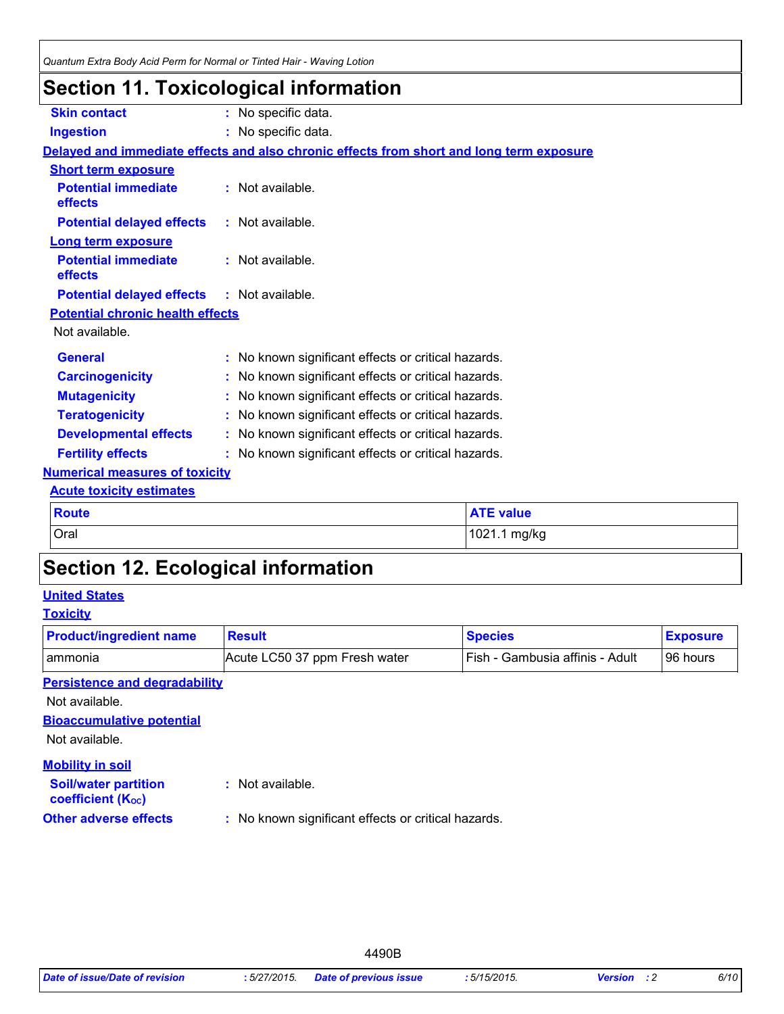### **Section 11. Toxicological information**

| <b>Skin contact</b>                          | : No specific data.                                                                      |  |
|----------------------------------------------|------------------------------------------------------------------------------------------|--|
| <b>Ingestion</b>                             | : No specific data.                                                                      |  |
|                                              | Delayed and immediate effects and also chronic effects from short and long term exposure |  |
| <b>Short term exposure</b>                   |                                                                                          |  |
| <b>Potential immediate</b><br>effects        | : Not available.                                                                         |  |
| <b>Potential delayed effects</b>             | : Not available.                                                                         |  |
| Long term exposure                           |                                                                                          |  |
| <b>Potential immediate</b><br><b>effects</b> | $:$ Not available.                                                                       |  |
| <b>Potential delayed effects</b>             | $:$ Not available.                                                                       |  |
| <b>Potential chronic health effects</b>      |                                                                                          |  |
| Not available.                               |                                                                                          |  |
| <b>General</b>                               | : No known significant effects or critical hazards.                                      |  |
| <b>Carcinogenicity</b>                       | No known significant effects or critical hazards.                                        |  |
| <b>Mutagenicity</b>                          | No known significant effects or critical hazards.                                        |  |
| <b>Teratogenicity</b>                        | No known significant effects or critical hazards.                                        |  |
| <b>Developmental effects</b>                 | : No known significant effects or critical hazards.                                      |  |
| <b>Fertility effects</b>                     | : No known significant effects or critical hazards.                                      |  |
| <b>Numerical measures of toxicity</b>        |                                                                                          |  |
| <b>Acute toxicity estimates</b>              |                                                                                          |  |
| <b>Route</b>                                 | <b>ATE value</b>                                                                         |  |
| Oral                                         | 1021.1 mg/kg                                                                             |  |
|                                              |                                                                                          |  |

## **Section 12. Ecological information**

#### **United States**

### **Toxicity**

| <b>Product/ingredient name</b>                          | <b>Result</b>                                       | <b>Species</b>                  | <b>Exposure</b> |
|---------------------------------------------------------|-----------------------------------------------------|---------------------------------|-----------------|
| ammonia                                                 | Acute LC50 37 ppm Fresh water                       | Fish - Gambusia affinis - Adult | 96 hours        |
| <b>Persistence and degradability</b>                    |                                                     |                                 |                 |
| Not available.                                          |                                                     |                                 |                 |
| <b>Bioaccumulative potential</b>                        |                                                     |                                 |                 |
| Not available.                                          |                                                     |                                 |                 |
| <b>Mobility in soil</b>                                 |                                                     |                                 |                 |
| <b>Soil/water partition</b><br><b>coefficient (Koc)</b> | : Not available.                                    |                                 |                 |
| <b>Other adverse effects</b>                            | : No known significant effects or critical hazards. |                                 |                 |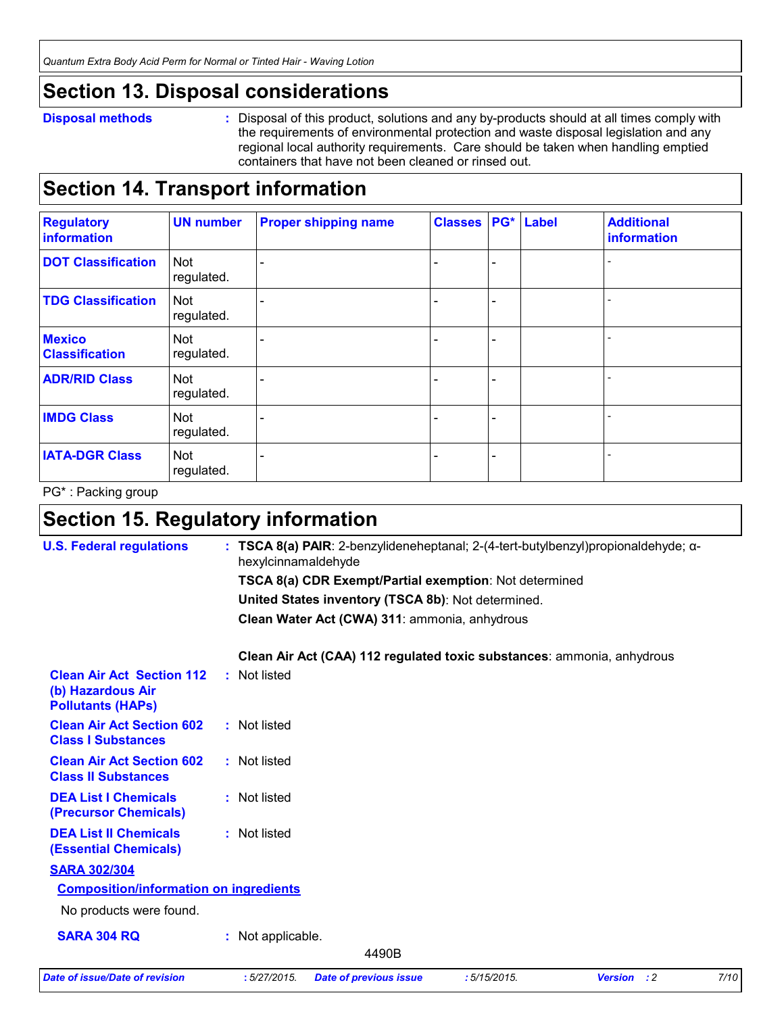### **Section 13. Disposal considerations**

#### **Disposal methods :**

Disposal of this product, solutions and any by-products should at all times comply with the requirements of environmental protection and waste disposal legislation and any regional local authority requirements. Care should be taken when handling emptied containers that have not been cleaned or rinsed out.

### **Section 14. Transport information**

| <b>Regulatory</b><br>information       | <b>UN number</b>         | <b>Proper shipping name</b> | <b>Classes   PG*   Label</b> |  | <b>Additional</b><br>information |
|----------------------------------------|--------------------------|-----------------------------|------------------------------|--|----------------------------------|
| <b>DOT Classification</b>              | Not<br>regulated.        |                             |                              |  |                                  |
| <b>TDG Classification</b>              | Not<br>regulated.        |                             |                              |  |                                  |
| <b>Mexico</b><br><b>Classification</b> | Not<br>regulated.        |                             |                              |  |                                  |
| <b>ADR/RID Class</b>                   | <b>Not</b><br>regulated. |                             |                              |  |                                  |
| <b>IMDG Class</b>                      | Not<br>regulated.        |                             |                              |  |                                  |
| <b>IATA-DGR Class</b>                  | Not<br>regulated.        |                             |                              |  |                                  |

PG\* : Packing group

### **Section 15. Regulatory information**

| <b>U.S. Federal regulations</b>                                                   | : TSCA 8(a) PAIR: 2-benzylideneheptanal; 2-(4-tert-butylbenzyl)propionaldehyde; $\alpha$ -<br>hexylcinnamaldehyde |      |
|-----------------------------------------------------------------------------------|-------------------------------------------------------------------------------------------------------------------|------|
|                                                                                   | <b>TSCA 8(a) CDR Exempt/Partial exemption: Not determined</b>                                                     |      |
|                                                                                   | United States inventory (TSCA 8b): Not determined.                                                                |      |
|                                                                                   | Clean Water Act (CWA) 311: ammonia, anhydrous                                                                     |      |
|                                                                                   | Clean Air Act (CAA) 112 regulated toxic substances: ammonia, anhydrous                                            |      |
| <b>Clean Air Act Section 112</b><br>(b) Hazardous Air<br><b>Pollutants (HAPS)</b> | : Not listed                                                                                                      |      |
| <b>Clean Air Act Section 602</b><br><b>Class I Substances</b>                     | : Not listed                                                                                                      |      |
| <b>Clean Air Act Section 602</b><br><b>Class II Substances</b>                    | : Not listed                                                                                                      |      |
| <b>DEA List I Chemicals</b><br>(Precursor Chemicals)                              | : Not listed                                                                                                      |      |
| <b>DEA List II Chemicals</b><br><b>(Essential Chemicals)</b>                      | : Not listed                                                                                                      |      |
| <b>SARA 302/304</b>                                                               |                                                                                                                   |      |
| <b>Composition/information on ingredients</b>                                     |                                                                                                                   |      |
| No products were found.                                                           |                                                                                                                   |      |
| <b>SARA 304 RQ</b>                                                                | : Not applicable.                                                                                                 |      |
|                                                                                   | 4490B                                                                                                             |      |
| <b>Date of issue/Date of revision</b>                                             | :5/27/2015.<br><b>Version</b> : 2<br>:5/15/2015.<br><b>Date of previous issue</b>                                 | 7/10 |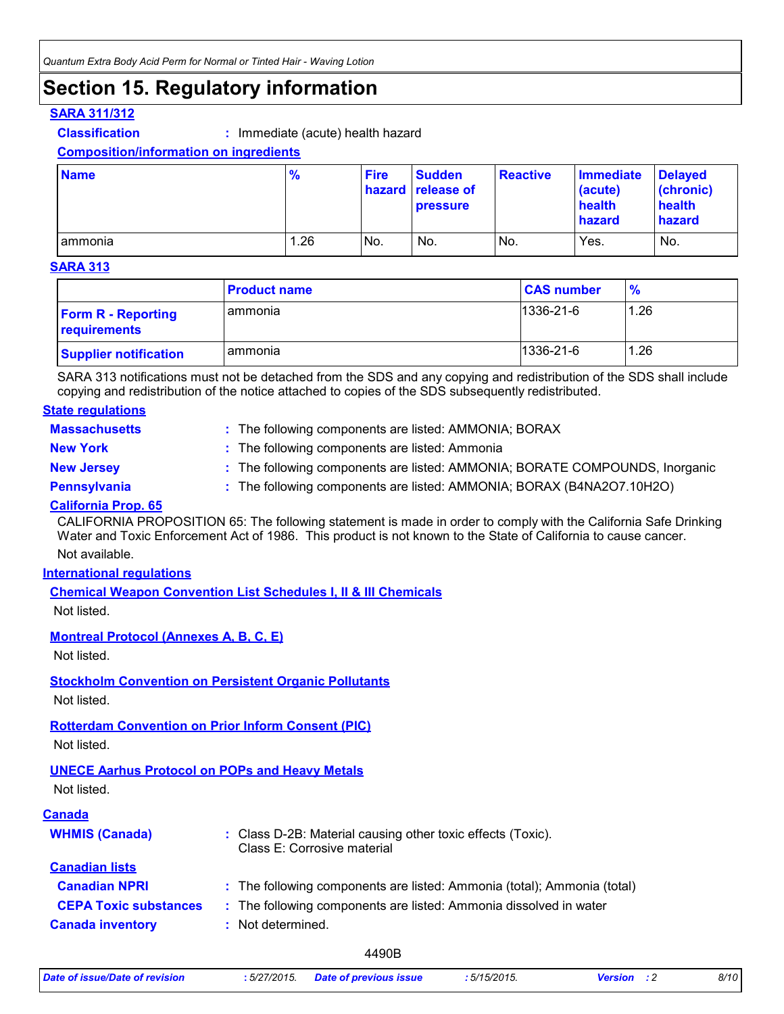### **Section 15. Regulatory information**

#### **SARA 311/312**

**Classification :** Immediate (acute) health hazard

**Composition/information on ingredients**

| <b>Name</b>     | $\frac{9}{6}$ | <b>Fire</b> | <b>Sudden</b><br>hazard release of<br><b>pressure</b> | <b>Reactive</b> | <b>Immediate</b><br>(acute)<br>health<br><b>hazard</b> | <b>Delaved</b><br>(chronic)<br>health<br>hazard |
|-----------------|---------------|-------------|-------------------------------------------------------|-----------------|--------------------------------------------------------|-------------------------------------------------|
| <b>lammonia</b> | 1.26          | No.         | No.                                                   | No.             | Yes.                                                   | No.                                             |

#### **SARA 313**

|                                           | <b>Product name</b> | <b>CAS number</b> | $\frac{9}{6}$ |
|-------------------------------------------|---------------------|-------------------|---------------|
| <b>Form R - Reporting</b><br>requirements | l ammonia           | $1336 - 21 - 6$   | 1.26          |
| <b>Supplier notification</b>              | l ammonia           | $1336 - 21 - 6$   | 1.26          |

SARA 313 notifications must not be detached from the SDS and any copying and redistribution of the SDS shall include copying and redistribution of the notice attached to copies of the SDS subsequently redistributed.

#### **Massachusetts : State regulations**

The following components are listed: AMMONIA; BORAX

**New York :** The following components are listed: Ammonia

- **New Jersey :** The following components are listed: AMMONIA; BORATE COMPOUNDS, Inorganic
- 
- **Pennsylvania :** The following components are listed: AMMONIA; BORAX (B4NA2O7.10H2O)

#### **California Prop. 65**

Not available. CALIFORNIA PROPOSITION 65: The following statement is made in order to comply with the California Safe Drinking Water and Toxic Enforcement Act of 1986. This product is not known to the State of California to cause cancer.

#### **International regulations**

**Chemical Weapon Convention List Schedules I, II & III Chemicals**

Not listed.

#### **Montreal Protocol (Annexes A, B, C, E)**

Not listed.

#### **Stockholm Convention on Persistent Organic Pollutants**

Not listed.

### **Rotterdam Convention on Prior Inform Consent (PIC)**

Not listed.

#### **UNECE Aarhus Protocol on POPs and Heavy Metals**

Not listed.

#### **Canada**

| <b>WHMIS (Canada)</b>        | : Class D-2B: Material causing other toxic effects (Toxic).<br>Class E: Corrosive material |
|------------------------------|--------------------------------------------------------------------------------------------|
| <b>Canadian lists</b>        |                                                                                            |
| <b>Canadian NPRI</b>         | : The following components are listed: Ammonia (total); Ammonia (total)                    |
| <b>CEPA Toxic substances</b> | : The following components are listed: Ammonia dissolved in water                          |
| <b>Canada inventory</b>      | : Not determined.                                                                          |

|  | Date of issue/Date of revision | 5/27/2015. | <b>Date of previous issue</b> | : 5/15/2015. | <b>Version</b> | 8/10 |
|--|--------------------------------|------------|-------------------------------|--------------|----------------|------|
|--|--------------------------------|------------|-------------------------------|--------------|----------------|------|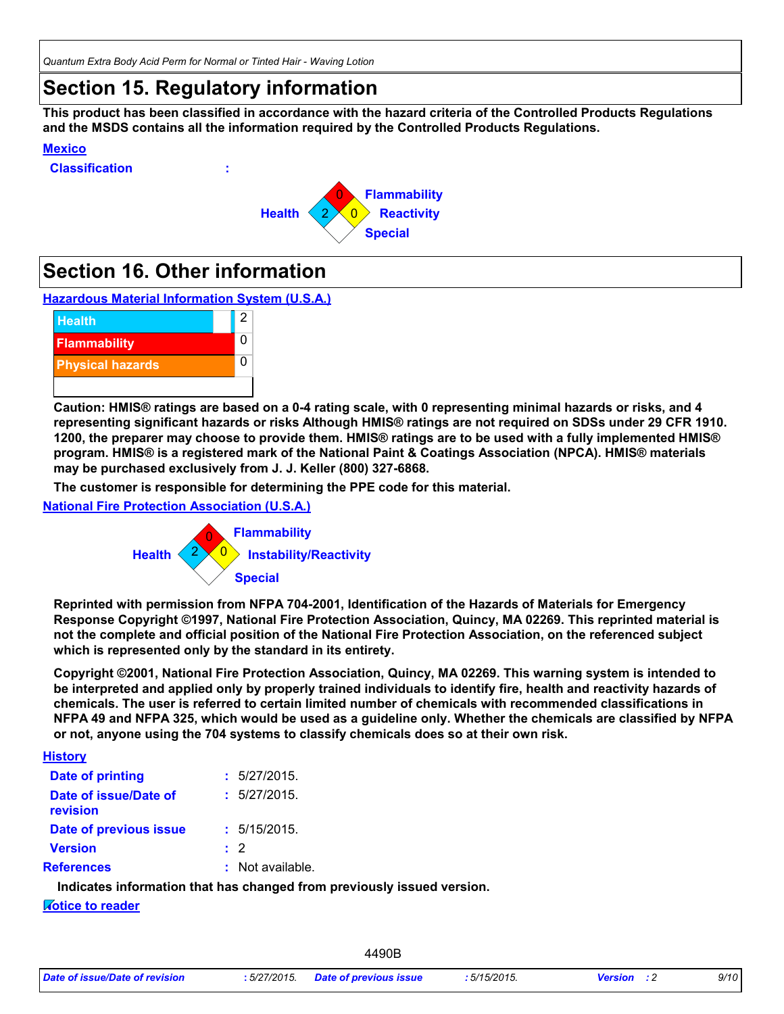*Quantum Extra Body Acid Perm for Normal or Tinted Hair - Waving Lotion*

### **Section 15. Regulatory information**

**This product has been classified in accordance with the hazard criteria of the Controlled Products Regulations and the MSDS contains all the information required by the Controlled Products Regulations.**

#### **Mexico**





### **Section 16. Other information**





**Caution: HMIS® ratings are based on a 0-4 rating scale, with 0 representing minimal hazards or risks, and 4 representing significant hazards or risks Although HMIS® ratings are not required on SDSs under 29 CFR 1910. 1200, the preparer may choose to provide them. HMIS® ratings are to be used with a fully implemented HMIS® program. HMIS® is a registered mark of the National Paint & Coatings Association (NPCA). HMIS® materials may be purchased exclusively from J. J. Keller (800) 327-6868.**

**The customer is responsible for determining the PPE code for this material.**

**National Fire Protection Association (U.S.A.)**



**Reprinted with permission from NFPA 704-2001, Identification of the Hazards of Materials for Emergency Response Copyright ©1997, National Fire Protection Association, Quincy, MA 02269. This reprinted material is not the complete and official position of the National Fire Protection Association, on the referenced subject which is represented only by the standard in its entirety.**

**Copyright ©2001, National Fire Protection Association, Quincy, MA 02269. This warning system is intended to be interpreted and applied only by properly trained individuals to identify fire, health and reactivity hazards of chemicals. The user is referred to certain limited number of chemicals with recommended classifications in NFPA 49 and NFPA 325, which would be used as a guideline only. Whether the chemicals are classified by NFPA or not, anyone using the 704 systems to classify chemicals does so at their own risk.**

| <b>History</b>                    |                  |  |
|-----------------------------------|------------------|--|
| <b>Date of printing</b>           | : 5/27/2015.     |  |
| Date of issue/Date of<br>revision | : 5/27/2015.     |  |
| Date of previous issue            | : 5/15/2015.     |  |
| <b>Version</b>                    | $\cdot$ 2        |  |
| <b>References</b>                 | : Not available. |  |
|                                   |                  |  |

**Indicates information that has changed from previously issued version.**

#### **Notice to reader**

| Date of issue/Date of revision | : 5/27/2015. Date of previous issue | .5/15/2015. | <b>Version</b> : 2 | 9/10 |  |
|--------------------------------|-------------------------------------|-------------|--------------------|------|--|
|--------------------------------|-------------------------------------|-------------|--------------------|------|--|